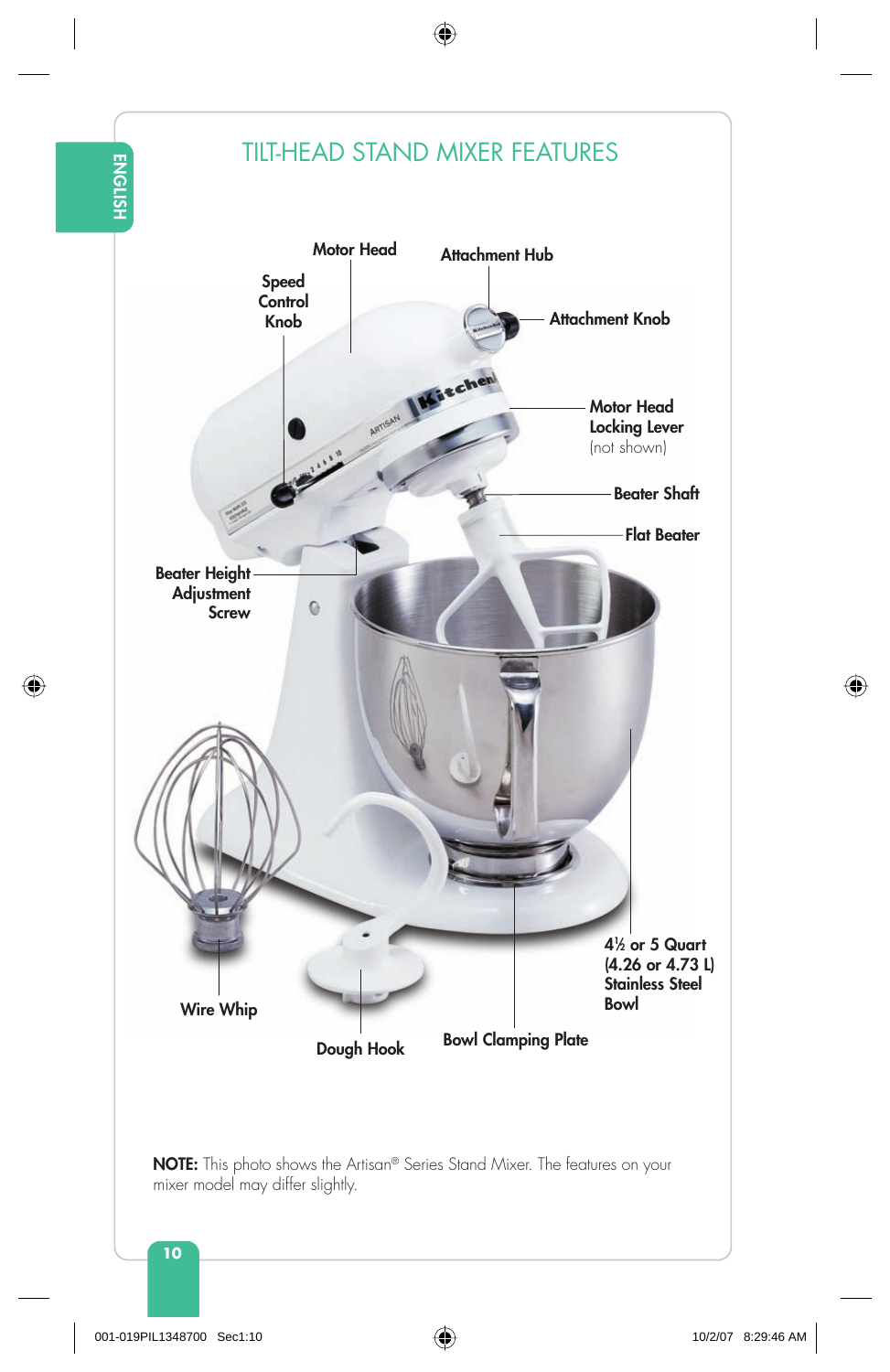## TILT-HEAD STAND MIXER FEATURES



**ENGLISH**



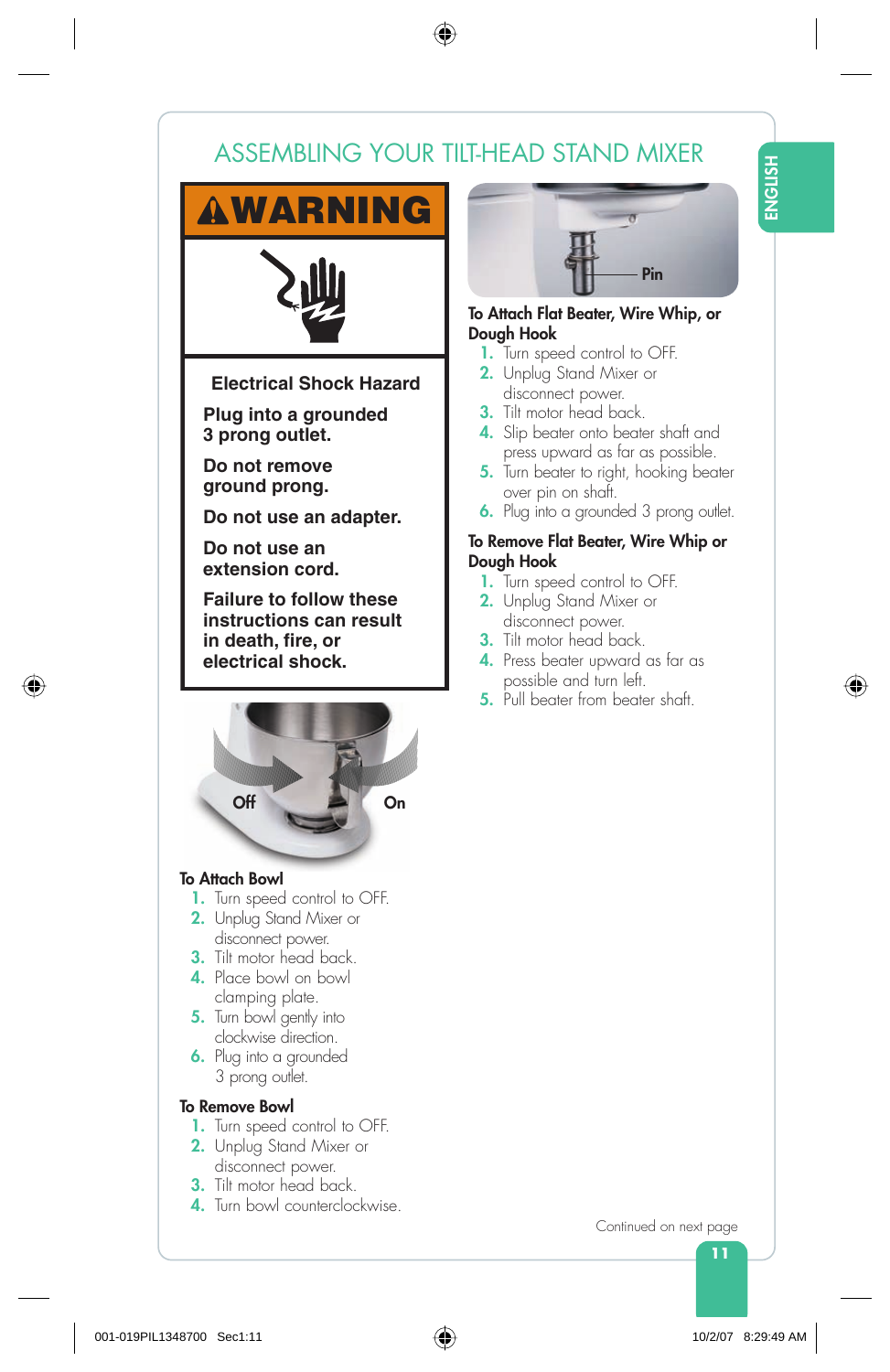# **ENGLISH**

## ASSEMBLING YOUR TILT-HEAD STAND MIXER



**Electrical Shock Hazard**

**Plug into a grounded 3 prong outlet.**

**Do not remove ground prong.**

**Do not use an adapter.**

**Do not use an extension cord.**

**Failure to follow these instructions can result in death, fire, or electrical shock.**



#### **To Attach Bowl**

- 1. Turn speed control to OFF.
- **2.** Unplug Stand Mixer or disconnect power.
- **3.** Tilt motor head back.
- **4.** Place bowl on bowl clamping plate.
- **5.** Turn bowl gently into clockwise direction.
- **6.** Plug into a grounded 3 prong outlet.

#### **To Remove Bowl**

- **1.** Turn speed control to OFF.
- **2.** Unplug Stand Mixer or disconnect power.
- **3.** Tilt motor head back.
- **4.** Turn bowl counterclockwise.



#### **To Attach Flat Beater, Wire Whip, or Dough Hook**

- **1.** Turn speed control to OFF.
- **2.** Unplug Stand Mixer or
- disconnect power.
- **3.** Tilt motor head back.
- **4.** Slip beater onto beater shaft and press upward as far as possible.
- **5.** Turn beater to right, hooking beater over pin on shaft.
- **6.** Plug into a grounded 3 prong outlet.

#### **To Remove Flat Beater, Wire Whip or Dough Hook**

- **1.** Turn speed control to OFF.
- **2.** Unplug Stand Mixer or disconnect power.
- **3.** Tilt motor head back.
- **4.** Press beater upward as far as possible and turn left.
- **5.** Pull beater from beater shaft.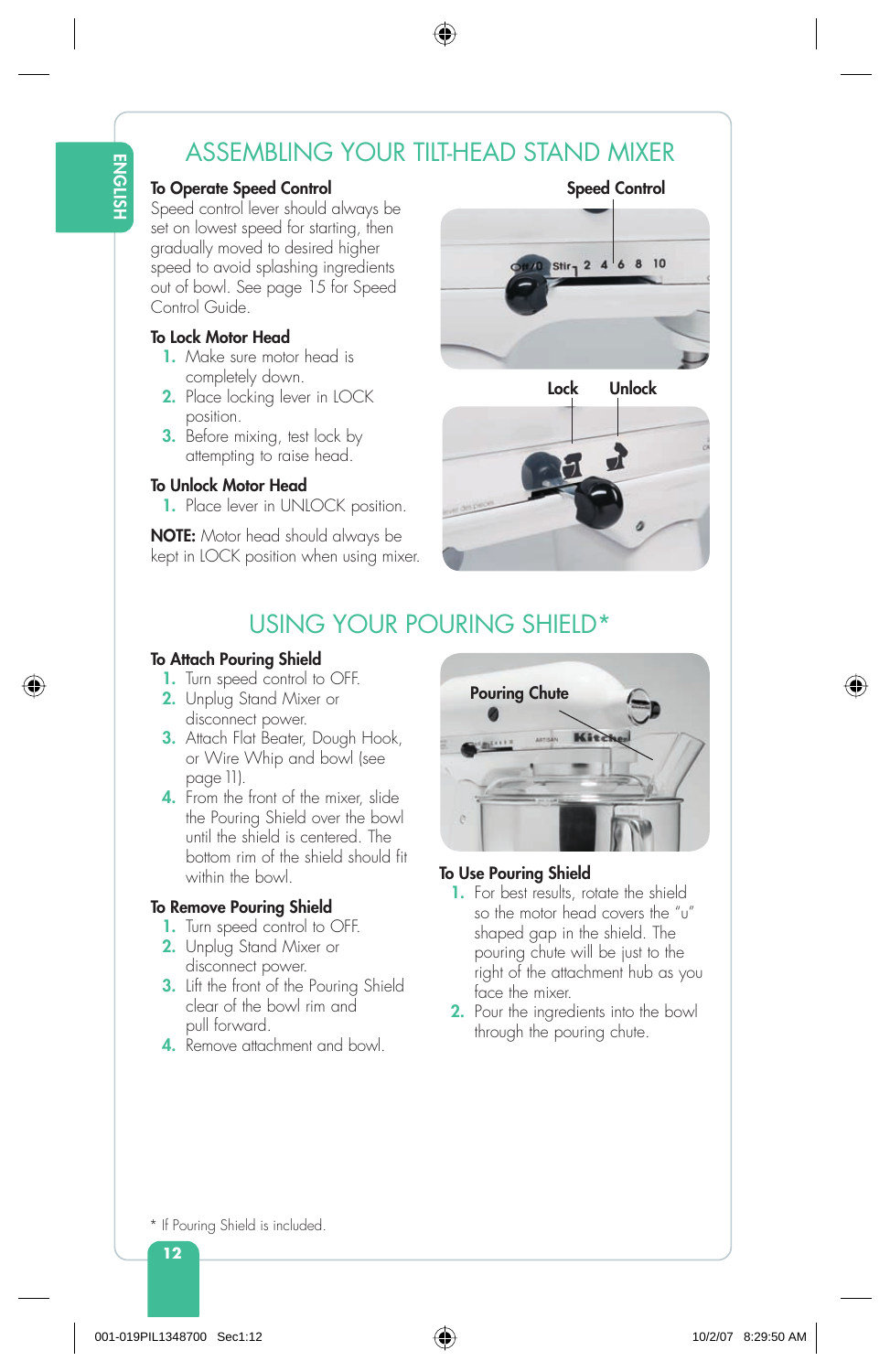## ASSEMBLING YOUR TILT-HEAD STAND MIXER

#### **To Operate Speed Control**

Speed control lever should always be set on lowest speed for starting, then gradually moved to desired higher speed to avoid splashing ingredients out of bowl. See page 15 for Speed Control Guide.

#### **To Lock Motor Head**

- **1.** Make sure motor head is completely down.
- **2.** Place locking lever in LOCK position.
- **3.** Before mixing, test lock by attempting to raise head.

#### **To Unlock Motor Head**

**1.** Place lever in UNLOCK position.

**NOTE:** Motor head should always be kept in LOCK position when using mixer.





## USING YOUR POURING SHIELD\*

#### **To Attach Pouring Shield**

- **1.** Turn speed control to OFF.
- **2.** Unplug Stand Mixer or disconnect power.
- **3.** Attach Flat Beater, Dough Hook, or Wire Whip and bowl (see page 11).
- **4.** From the front of the mixer, slide the Pouring Shield over the bowl until the shield is centered. The bottom rim of the shield should fit within the bowl.

#### **To Remove Pouring Shield**

- **1.** Turn speed control to OFF.
- **2.** Unplug Stand Mixer or disconnect power.
- **3.** Lift the front of the Pouring Shield clear of the bowl rim and pull forward.
- **4.** Remove attachment and bowl.



#### **To Use Pouring Shield**

- **1.** For best results, rotate the shield so the motor head covers the "u" shaped gap in the shield. The pouring chute will be just to the right of the attachment hub as you face the mixer.
- **2.** Pour the ingredients into the bowl through the pouring chute.

\* If Pouring Shield is included.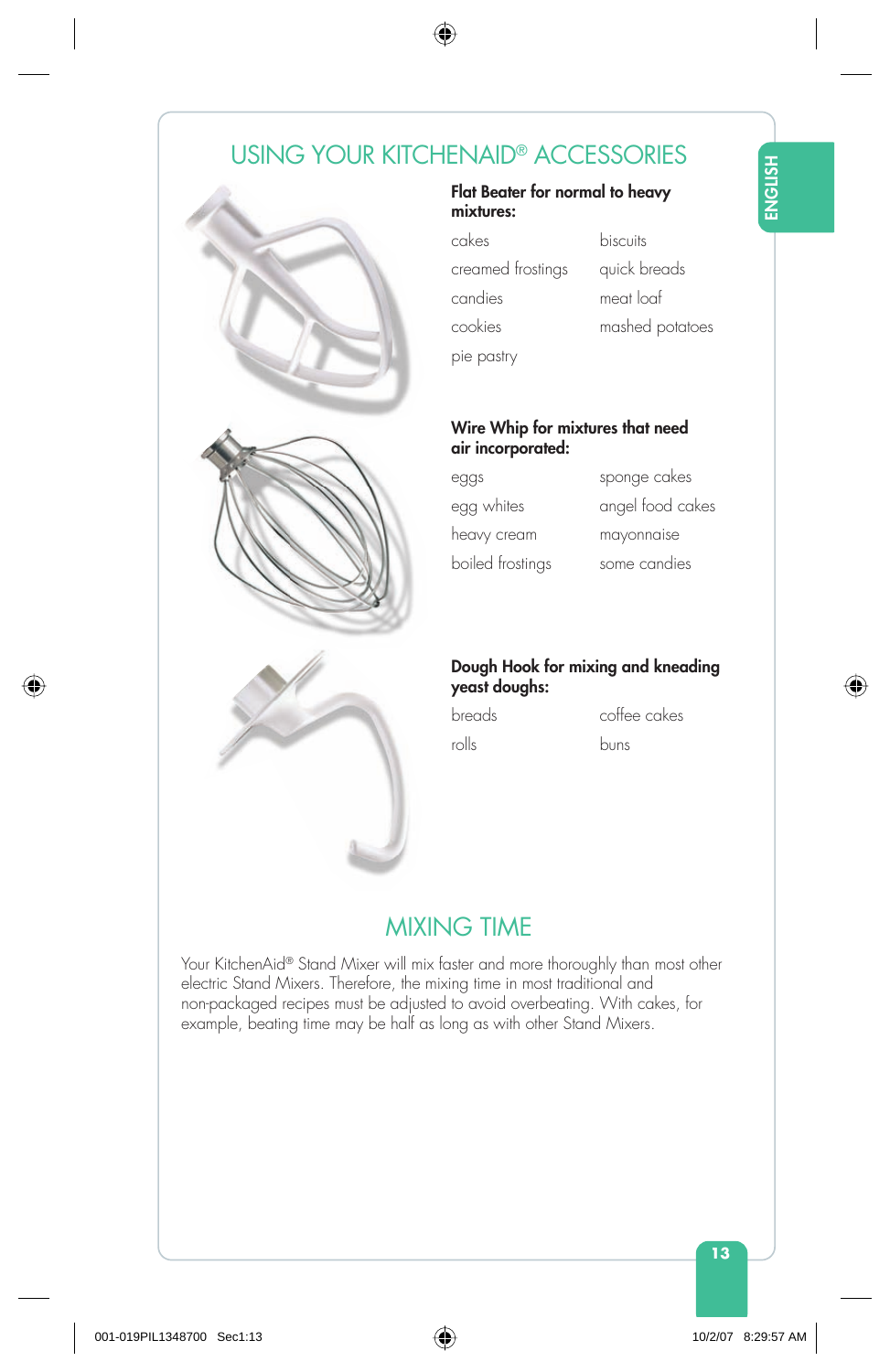## USING YOUR KITCHENAID® ACCESSORIES

#### **Flat Beater for normal to heavy mixtures:**

| cakes             | biscuits        |  |
|-------------------|-----------------|--|
| creamed frostings | quick breads    |  |
| candies           | meat loaf       |  |
| cookies           | mashed potatoes |  |
| pie pastry        |                 |  |

#### **Wire Whip for mixtures that need air incorporated:**

heavy cream mayonnaise boiled frostings some candies

eggs sponge cakes egg whites angel food cakes

#### **Dough Hook for mixing and kneading yeast doughs:**

breads coffee cakes

rolls buns

## MIXING TIME

Your KitchenAid® Stand Mixer will mix faster and more thoroughly than most other electric Stand Mixers. Therefore, the mixing time in most traditional and non-packaged recipes must be adjusted to avoid overbeating. With cakes, for example, beating time may be half as long as with other Stand Mixers.

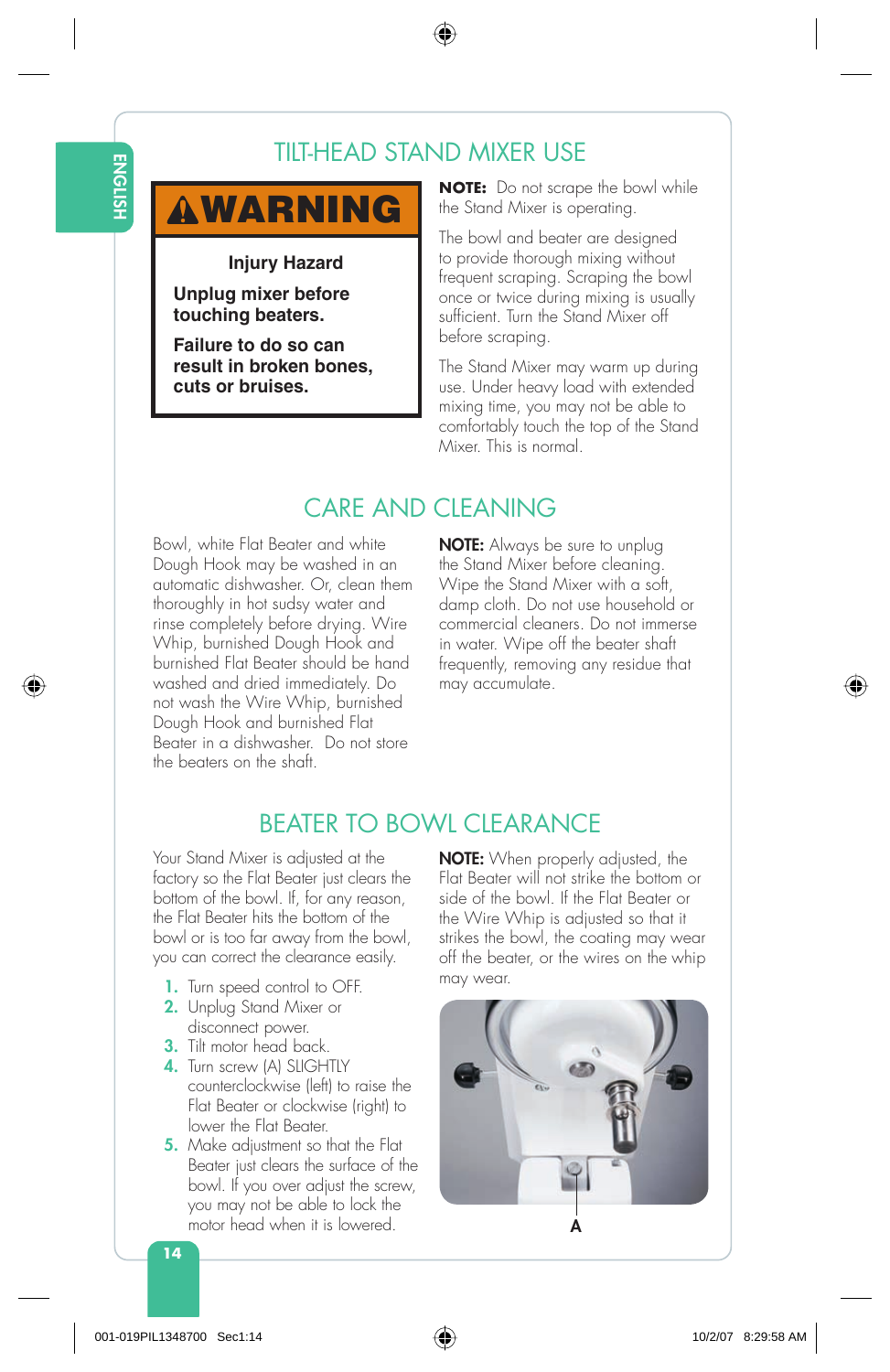## TILT-HEAD STAND MIXER USE

## **WARNING**

#### **Injury Hazard**

**Unplug mixer before touching beaters.**

**Failure to do so can result in broken bones, cuts or bruises.**

**NOTE:** Do not scrape the bowl while the Stand Mixer is operating.

The bowl and beater are designed to provide thorough mixing without frequent scraping. Scraping the bowl once or twice during mixing is usually sufficient. Turn the Stand Mixer off before scraping.

The Stand Mixer may warm up during use. Under heavy load with extended mixing time, you may not be able to comfortably touch the top of the Stand Mixer. This is normal.

## CARE AND CLEANING

Bowl, white Flat Beater and white Dough Hook may be washed in an automatic dishwasher. Or, clean them thoroughly in hot sudsy water and rinse completely before drying. Wire Whip, burnished Dough Hook and burnished Flat Beater should be hand washed and dried immediately. Do not wash the Wire Whip, burnished Dough Hook and burnished Flat Beater in a dishwasher. Do not store the beaters on the shaft.

**NOTE:** Always be sure to unplug the Stand Mixer before cleaning. Wipe the Stand Mixer with a soft, damp cloth. Do not use household or commercial cleaners. Do not immerse in water. Wipe off the beater shaft frequently, removing any residue that may accumulate.

## BEATER TO BOWL CLEARANCE

Your Stand Mixer is adjusted at the factory so the Flat Beater just clears the bottom of the bowl. If, for any reason, the Flat Beater hits the bottom of the bowl or is too far away from the bowl, you can correct the clearance easily.

- **1.** Turn speed control to OFF.
- **2.** Unplug Stand Mixer or disconnect power.
- **3.** Tilt motor head back.
- **4.** Turn screw (A) SLIGHTLY counterclockwise (left) to raise the Flat Beater or clockwise (right) to lower the Flat Beater.
- **5.** Make adjustment so that the Flat Beater just clears the surface of the bowl. If you over adjust the screw, you may not be able to lock the motor head when it is lowered.

**NOTE:** When properly adjusted, the Flat Beater will not strike the bottom or side of the bowl. If the Flat Beater or the Wire Whip is adjusted so that it strikes the bowl, the coating may wear off the beater, or the wires on the whip may wear.

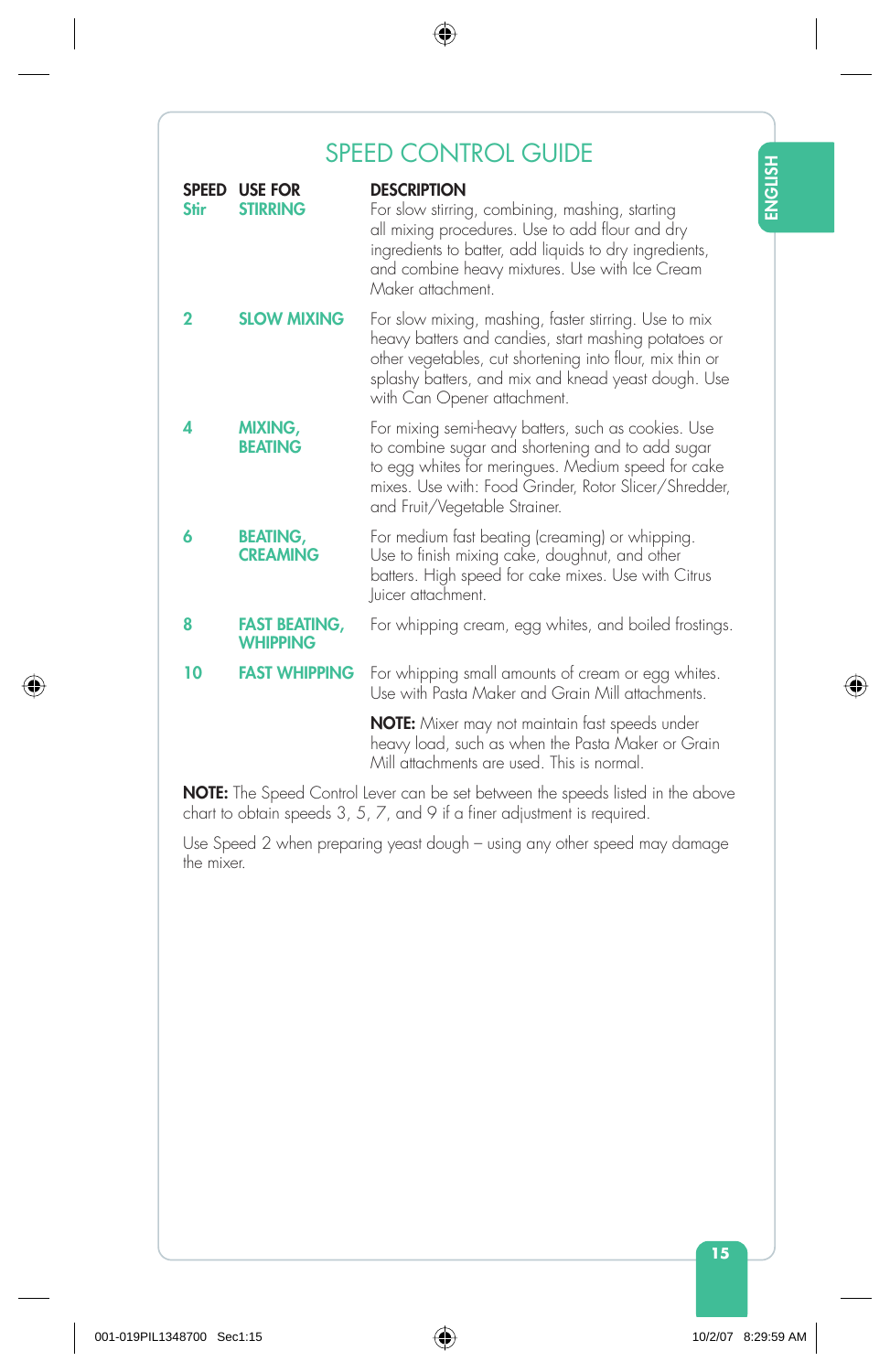## SPEED CONTROL GUIDE

| <b>Stir</b> | SPEED USE FOR<br><b>STIRRING</b>        | <b>DESCRIPTION</b><br>For slow stirring, combining, mashing, starting<br>all mixing procedures. Use to add flour and dry<br>ingredients to batter, add liquids to dry ingredients,<br>and combine heavy mixtures. Use with Ice Cream<br>Maker attachment        |
|-------------|-----------------------------------------|-----------------------------------------------------------------------------------------------------------------------------------------------------------------------------------------------------------------------------------------------------------------|
| 2           | <b>SLOW MIXING</b>                      | For slow mixing, mashing, faster stirring. Use to mix<br>heavy batters and candies, start mashing potatoes or<br>other vegetables, cut shortening into flour, mix thin or<br>splashy batters, and mix and knead yeast dough. Use<br>with Can Opener attachment. |
| 4           | <b>MIXING,</b><br><b>BEATING</b>        | For mixing semi-heavy batters, such as cookies. Use<br>to combine sugar and shortening and to add sugar<br>to egg whites for meringues. Medium speed for cake<br>mixes. Use with: Food Grinder, Rotor Slicer/Shredder,<br>and Fruit/Vegetable Strainer.         |
| 6           | <b>BEATING,</b><br><b>CREAMING</b>      | For medium fast beating (creaming) or whipping.<br>Use to finish mixing cake, doughnut, and other<br>batters. High speed for cake mixes. Use with Citrus<br>luicer attachment.                                                                                  |
| 8           | <b>FAST BEATING,</b><br><b>WHIPPING</b> | For whipping cream, egg whites, and boiled frostings.                                                                                                                                                                                                           |
| 10          | <b>FAST WHIPPING</b>                    | For whipping small amounts of cream or egg whites.<br>Use with Pasta Maker and Grain Mill attachments.                                                                                                                                                          |
|             |                                         | NOTE: Mixer may not maintain fast speeds under<br>heavy load, such as when the Pasta Maker or Grain<br>Mill attachments are used. This is normal.                                                                                                               |

**NOTE:** The Speed Control Lever can be set between the speeds listed in the above chart to obtain speeds 3, 5, 7, and 9 if a finer adjustment is required.

Use Speed 2 when preparing yeast dough – using any other speed may damage the mixer.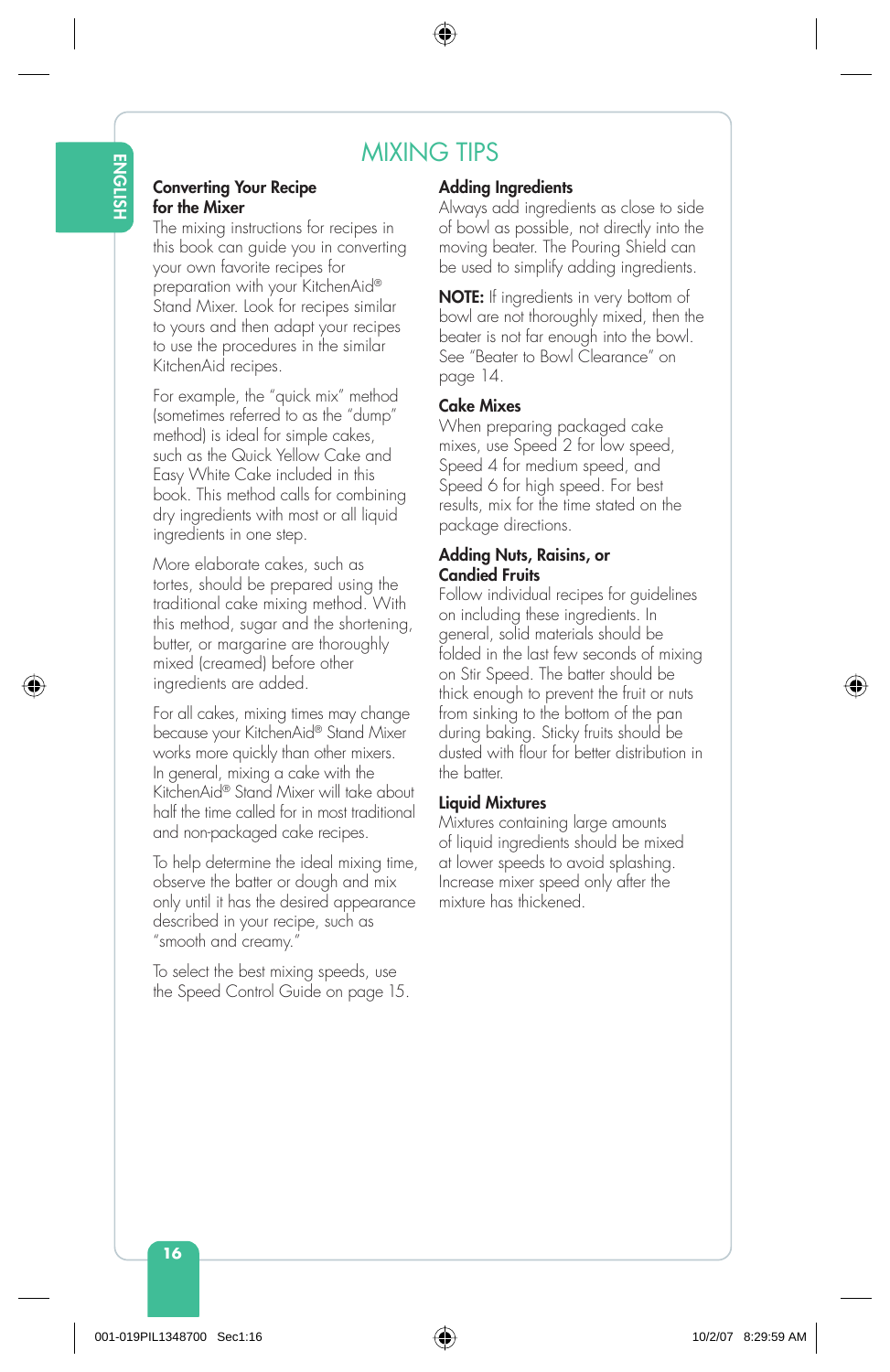## MIXING TIPS

#### **Converting Your Recipe for the Mixer**

The mixing instructions for recipes in this book can guide you in converting your own favorite recipes for preparation with your KitchenAid® Stand Mixer. Look for recipes similar to yours and then adapt your recipes to use the procedures in the similar KitchenAid recipes.

For example, the "quick mix" method (sometimes referred to as the "dump" method) is ideal for simple cakes, such as the Quick Yellow Cake and Easy White Cake included in this book. This method calls for combining dry ingredients with most or all liquid ingredients in one step.

More elaborate cakes, such as tortes, should be prepared using the traditional cake mixing method. With this method, sugar and the shortening, butter, or margarine are thoroughly mixed (creamed) before other ingredients are added.

For all cakes, mixing times may change because your KitchenAid® Stand Mixer works more quickly than other mixers. In general, mixing a cake with the KitchenAid® Stand Mixer will take about half the time called for in most traditional and non-packaged cake recipes.

To help determine the ideal mixing time, observe the batter or dough and mix only until it has the desired appearance described in your recipe, such as "smooth and creamy."

To select the best mixing speeds, use the Speed Control Guide on page 15.

#### **Adding Ingredients**

Always add ingredients as close to side of bowl as possible, not directly into the moving beater. The Pouring Shield can be used to simplify adding ingredients.

**NOTE:** If ingredients in very bottom of bowl are not thoroughly mixed, then the beater is not far enough into the bowl. See "Beater to Bowl Clearance" on page 14.

#### **Cake Mixes**

When preparing packaged cake mixes, use Speed 2 for low speed, Speed 4 for medium speed, and Speed 6 for high speed. For best results, mix for the time stated on the package directions.

#### **Adding Nuts, Raisins, or Candied Fruits**

Follow individual recipes for guidelines on including these ingredients. In general, solid materials should be folded in the last few seconds of mixing on Stir Speed. The batter should be thick enough to prevent the fruit or nuts from sinking to the bottom of the pan during baking. Sticky fruits should be dusted with flour for better distribution in the batter.

#### **Liquid Mixtures**

Mixtures containing large amounts of liquid ingredients should be mixed at lower speeds to avoid splashing. Increase mixer speed only after the mixture has thickened.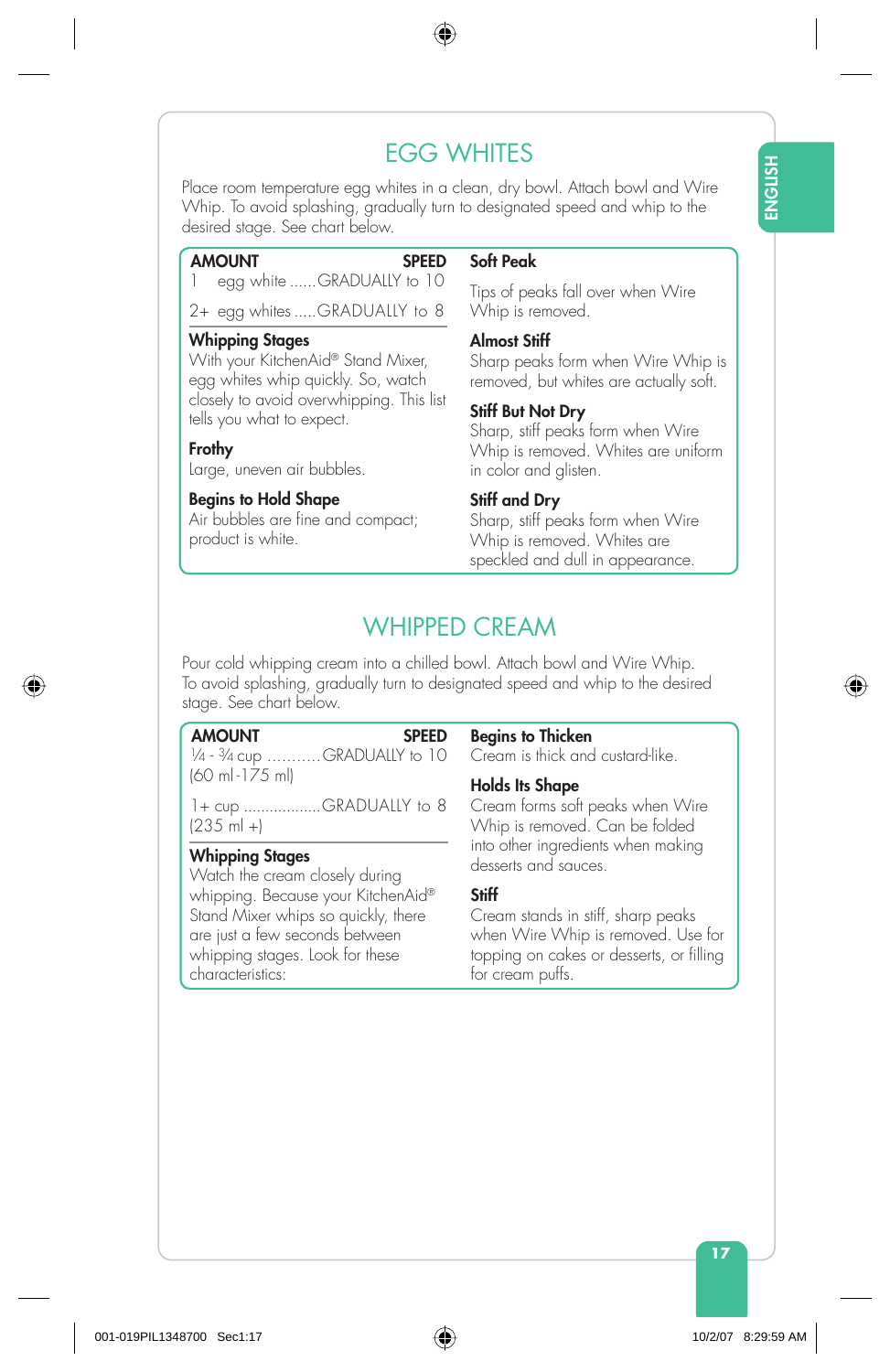## EGG WHITES

Place room temperature egg whites in a clean, dry bowl. Attach bowl and Wire Whip. To avoid splashing, gradually turn to designated speed and whip to the desired stage. See chart below.

#### **AMOUNT SPEED**

#### **Soft Peak**

egg white ...... GRADUALLY to 10

2+ egg whites ..... GRADUALLY to 8

#### **Whipping Stages**

With your KitchenAid® Stand Mixer, egg whites whip quickly. So, watch closely to avoid overwhipping. This list tells you what to expect.

#### **Frothy**

Large, uneven air bubbles.

#### **Begins to Hold Shape**

Air bubbles are fine and compact; product is white.

Tips of peaks fall over when Wire Whip is removed.

#### **Almost Stiff**

Sharp peaks form when Wire Whip is removed, but whites are actually soft.

#### **Stiff But Not Dry**

Sharp, stiff peaks form when Wire Whip is removed. Whites are uniform in color and glisten.

#### **Stiff and Dry**

Sharp, stiff peaks form when Wire Whip is removed. Whites are speckled and dull in appearance.

## WHIPPED CREAM

Pour cold whipping cream into a chilled bowl. Attach bowl and Wire Whip. To avoid splashing, gradually turn to designated speed and whip to the desired stage. See chart below.

#### **AMOUNT SPEED**

1/4 - 3/4 cup ...........GRADUALLY to 10 (60 ml -175 ml)

1+ cup .................. GRADUALLY to 8  $(235 \text{ ml} +)$ 

#### **Whipping Stages**

Watch the cream closely during whipping. Because your KitchenAid® Stand Mixer whips so quickly, there are just a few seconds between whipping stages. Look for these characteristics:

#### **Begins to Thicken**

Cream is thick and custard-like.

#### **Holds Its Shape**

Cream forms soft peaks when Wire Whip is removed. Can be folded into other ingredients when making desserts and sauces.

#### **Stiff**

Cream stands in stiff, sharp peaks when Wire Whip is removed. Use for topping on cakes or desserts, or filling for cream puffs.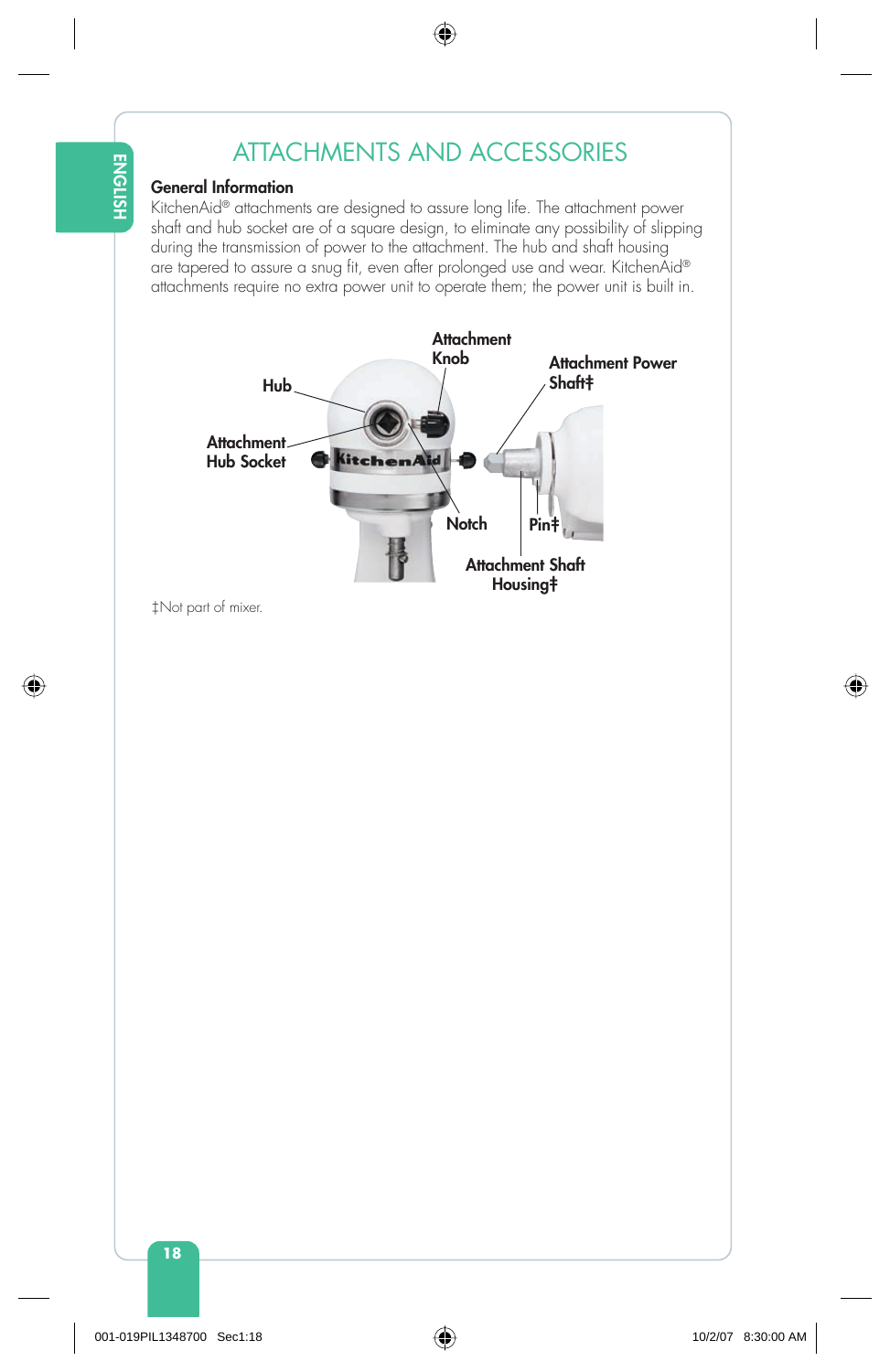## ATTACHMENTS AND ACCESSORIES

#### **General Information**

KitchenAid® attachments are designed to assure long life. The attachment power shaft and hub socket are of a square design, to eliminate any possibility of slipping during the transmission of power to the attachment. The hub and shaft housing are tapered to assure a snug fit, even after prolonged use and wear. KitchenAid® attachments require no extra power unit to operate them; the power unit is built in.



‡Not part of mixer.